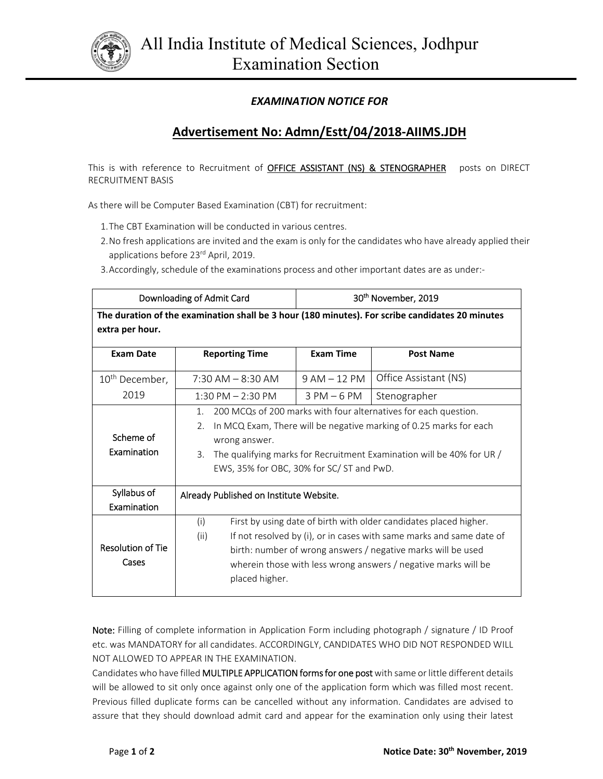

## *EXAMINATION NOTICE FOR*

## **Advertisement No: Admn/Estt/04/2018‐AIIMS.JDH**

This is with reference to Recruitment of **OFFICE ASSISTANT (NS) & STENOGRAPHER** posts on DIRECT RECRUITMENT BASIS

As there will be Computer Based Examination (CBT) for recruitment:

- 1.The CBT Examination will be conducted in various centres.
- 2.No fresh applications are invited and the exam is only for the candidates who have already applied their applications before 23<sup>rd</sup> April, 2019.
- 3.Accordingly, schedule of the examinations process and other important dates are as under:‐

| Downloading of Admit Card                                                                       |                                                                                                                                                                                                                                                                                                              | 30 <sup>th</sup> November, 2019 |                       |
|-------------------------------------------------------------------------------------------------|--------------------------------------------------------------------------------------------------------------------------------------------------------------------------------------------------------------------------------------------------------------------------------------------------------------|---------------------------------|-----------------------|
| The duration of the examination shall be 3 hour (180 minutes). For scribe candidates 20 minutes |                                                                                                                                                                                                                                                                                                              |                                 |                       |
| extra per hour.                                                                                 |                                                                                                                                                                                                                                                                                                              |                                 |                       |
| <b>Exam Date</b>                                                                                | <b>Reporting Time</b>                                                                                                                                                                                                                                                                                        | <b>Exam Time</b>                | <b>Post Name</b>      |
| 10 <sup>th</sup> December,                                                                      | $7:30$ AM $-$ 8:30 AM                                                                                                                                                                                                                                                                                        | $9 AM - 12 PM$                  | Office Assistant (NS) |
| 2019                                                                                            | $1:30$ PM $- 2:30$ PM                                                                                                                                                                                                                                                                                        | $3$ PM $-6$ PM                  | Stenographer          |
| Scheme of<br>Examination                                                                        | 200 MCQs of 200 marks with four alternatives for each question.<br>$1_{-}$<br>In MCQ Exam, There will be negative marking of 0.25 marks for each<br>2.5<br>wrong answer.<br>The qualifying marks for Recruitment Examination will be 40% for UR /<br>3.<br>EWS, 35% for OBC, 30% for SC/ST and PwD.          |                                 |                       |
| Syllabus of<br>Examination                                                                      | Already Published on Institute Website.                                                                                                                                                                                                                                                                      |                                 |                       |
| <b>Resolution of Tie</b><br>Cases                                                               | First by using date of birth with older candidates placed higher.<br>(i)<br>If not resolved by (i), or in cases with same marks and same date of<br>(ii)<br>birth: number of wrong answers / negative marks will be used<br>wherein those with less wrong answers / negative marks will be<br>placed higher. |                                 |                       |

Note: Filling of complete information in Application Form including photograph / signature / ID Proof etc. was MANDATORY for all candidates. ACCORDINGLY, CANDIDATES WHO DID NOT RESPONDED WILL NOT ALLOWED TO APPEAR IN THE EXAMINATION.

Candidates who have filled MULTIPLE APPLICATION forms for one post with same or little different details will be allowed to sit only once against only one of the application form which was filled most recent. Previous filled duplicate forms can be cancelled without any information. Candidates are advised to assure that they should download admit card and appear for the examination only using their latest